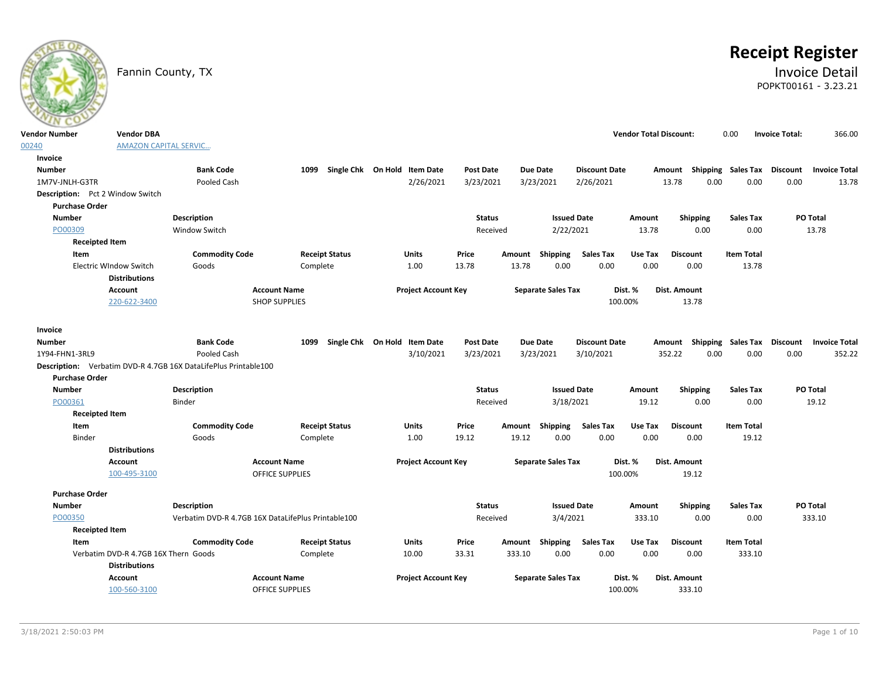# **Receipt Register**

### Fannin County, TX **Invoice Detail** POPKT00161 - 3.23.21

| <b>Vendor Number</b>             | <b>Vendor DBA</b>                              |                                                                 |                                                    |                              |                            |                  |        |                           |                      | <b>Vendor Total Discount:</b> |                                                  | 0.00                      | <b>Invoice Total:</b> | 366.00               |
|----------------------------------|------------------------------------------------|-----------------------------------------------------------------|----------------------------------------------------|------------------------------|----------------------------|------------------|--------|---------------------------|----------------------|-------------------------------|--------------------------------------------------|---------------------------|-----------------------|----------------------|
| 00240                            | <b>AMAZON CAPITAL SERVIC</b>                   |                                                                 |                                                    |                              |                            |                  |        |                           |                      |                               |                                                  |                           |                       |                      |
| Invoice                          |                                                |                                                                 |                                                    |                              |                            |                  |        |                           |                      |                               |                                                  |                           |                       |                      |
| <b>Number</b>                    |                                                | <b>Bank Code</b>                                                | 1099 Single Chk On Hold Item Date                  |                              |                            | <b>Post Date</b> |        | <b>Due Date</b>           | <b>Discount Date</b> |                               | Amount Shipping Sales Tax Discount Invoice Total |                           |                       |                      |
| 1M7V-JNLH-G3TR                   |                                                | Pooled Cash                                                     |                                                    |                              | 2/26/2021                  | 3/23/2021        |        | 3/23/2021                 | 2/26/2021            |                               | 13.78<br>0.00                                    | 0.00                      | 0.00                  | 13.78                |
| Description: Pct 2 Window Switch |                                                |                                                                 |                                                    |                              |                            |                  |        |                           |                      |                               |                                                  |                           |                       |                      |
| <b>Purchase Order</b>            |                                                |                                                                 |                                                    |                              |                            |                  |        |                           |                      |                               |                                                  |                           |                       |                      |
| <b>Number</b>                    |                                                | Description                                                     |                                                    |                              |                            | <b>Status</b>    |        | <b>Issued Date</b>        |                      | Amount                        | <b>Shipping</b>                                  | <b>Sales Tax</b>          |                       | PO Total             |
| PO00309                          |                                                | <b>Window Switch</b>                                            |                                                    |                              |                            | Received         |        | 2/22/2021                 |                      | 13.78                         | 0.00                                             | 0.00                      |                       | 13.78                |
| <b>Receipted Item</b>            |                                                |                                                                 |                                                    |                              |                            |                  |        |                           |                      |                               |                                                  |                           |                       |                      |
| Item                             |                                                | <b>Commodity Code</b>                                           | <b>Receipt Status</b>                              | <b>Units</b>                 |                            | Price            | Amount | Shipping                  | <b>Sales Tax</b>     | Use Tax                       | <b>Discount</b>                                  | <b>Item Total</b>         |                       |                      |
|                                  | Electric WIndow Switch<br><b>Distributions</b> | Goods                                                           | Complete                                           |                              | 1.00                       | 13.78            | 13.78  | 0.00                      | 0.00                 | 0.00                          | 0.00                                             | 13.78                     |                       |                      |
|                                  | <b>Account</b>                                 |                                                                 | <b>Account Name</b>                                |                              | <b>Project Account Key</b> |                  |        | <b>Separate Sales Tax</b> |                      | Dist. %                       | Dist. Amount                                     |                           |                       |                      |
|                                  | 220-622-3400                                   |                                                                 | <b>SHOP SUPPLIES</b>                               |                              |                            |                  |        |                           |                      | 100.00%                       | 13.78                                            |                           |                       |                      |
| Invoice                          |                                                |                                                                 |                                                    |                              |                            |                  |        |                           |                      |                               |                                                  |                           |                       |                      |
| Number                           |                                                | <b>Bank Code</b>                                                | 1099                                               | Single Chk On Hold Item Date |                            | Post Date        |        | Due Date                  | <b>Discount Date</b> |                               | Amount                                           | <b>Shipping Sales Tax</b> | Discount              | <b>Invoice Total</b> |
| 1Y94-FHN1-3RL9                   |                                                | Pooled Cash                                                     |                                                    |                              | 3/10/2021                  | 3/23/2021        |        | 3/23/2021                 | 3/10/2021            |                               | 0.00<br>352.22                                   | 0.00                      | 0.00                  | 352.22               |
|                                  |                                                | Description: Verbatim DVD-R 4.7GB 16X DataLifePlus Printable100 |                                                    |                              |                            |                  |        |                           |                      |                               |                                                  |                           |                       |                      |
| <b>Purchase Order</b>            |                                                |                                                                 |                                                    |                              |                            |                  |        |                           |                      |                               |                                                  |                           |                       |                      |
| <b>Number</b>                    |                                                | Description                                                     |                                                    |                              |                            | <b>Status</b>    |        | <b>Issued Date</b>        |                      | Amount                        | <b>Shipping</b>                                  | <b>Sales Tax</b>          |                       | PO Total             |
| PO00361                          |                                                | Binder                                                          |                                                    |                              |                            | Received         |        | 3/18/2021                 |                      | 19.12                         | 0.00                                             | 0.00                      |                       | 19.12                |
| <b>Receipted Item</b>            |                                                |                                                                 |                                                    |                              |                            |                  |        |                           |                      |                               |                                                  |                           |                       |                      |
| Item                             |                                                | <b>Commodity Code</b>                                           | <b>Receipt Status</b>                              | Units                        |                            | Price            | Amount | Shipping                  | <b>Sales Tax</b>     | Use Tax                       | <b>Discount</b>                                  | <b>Item Total</b>         |                       |                      |
| Binder                           |                                                | Goods                                                           | Complete                                           |                              | 1.00                       | 19.12            | 19.12  | 0.00                      | 0.00                 | 0.00                          | 0.00                                             | 19.12                     |                       |                      |
|                                  | <b>Distributions</b>                           |                                                                 |                                                    |                              |                            |                  |        |                           |                      |                               |                                                  |                           |                       |                      |
|                                  | <b>Account</b>                                 |                                                                 | <b>Account Name</b>                                |                              | <b>Project Account Key</b> |                  |        | <b>Separate Sales Tax</b> |                      | Dist. %                       | <b>Dist. Amount</b>                              |                           |                       |                      |
|                                  | 100-495-3100                                   |                                                                 | <b>OFFICE SUPPLIES</b>                             |                              |                            |                  |        |                           |                      | 100.00%                       | 19.12                                            |                           |                       |                      |
| <b>Purchase Order</b>            |                                                |                                                                 |                                                    |                              |                            |                  |        |                           |                      |                               |                                                  |                           |                       |                      |
| <b>Number</b>                    |                                                | <b>Description</b>                                              |                                                    |                              |                            | <b>Status</b>    |        | <b>Issued Date</b>        |                      | Amount                        | <b>Shipping</b>                                  | <b>Sales Tax</b>          |                       | PO Total             |
| PO00350                          |                                                |                                                                 | Verbatim DVD-R 4.7GB 16X DataLifePlus Printable100 |                              |                            | Received         |        | 3/4/2021                  |                      | 333.10                        | 0.00                                             | 0.00                      |                       | 333.10               |
| <b>Receipted Item</b>            |                                                |                                                                 |                                                    |                              |                            |                  |        |                           |                      |                               |                                                  |                           |                       |                      |
| Item                             |                                                | <b>Commodity Code</b>                                           | <b>Receipt Status</b>                              | Units                        |                            | Price            | Amount | Shipping                  | Sales Tax            | Use Tax                       | <b>Discount</b>                                  | <b>Item Total</b>         |                       |                      |
|                                  | Verbatim DVD-R 4.7GB 16X Thern Goods           |                                                                 | Complete                                           | 10.00                        |                            | 33.31            | 333.10 | 0.00                      | 0.00                 | 0.00                          | 0.00                                             | 333.10                    |                       |                      |
|                                  | <b>Distributions</b>                           |                                                                 |                                                    |                              |                            |                  |        |                           |                      |                               |                                                  |                           |                       |                      |
|                                  | <b>Account</b>                                 |                                                                 | <b>Account Name</b>                                |                              | <b>Project Account Key</b> |                  |        | <b>Separate Sales Tax</b> |                      | Dist. %                       | Dist. Amount                                     |                           |                       |                      |
|                                  | 100-560-3100                                   |                                                                 | <b>OFFICE SUPPLIES</b>                             |                              |                            |                  |        |                           |                      | 100.00%                       | 333.10                                           |                           |                       |                      |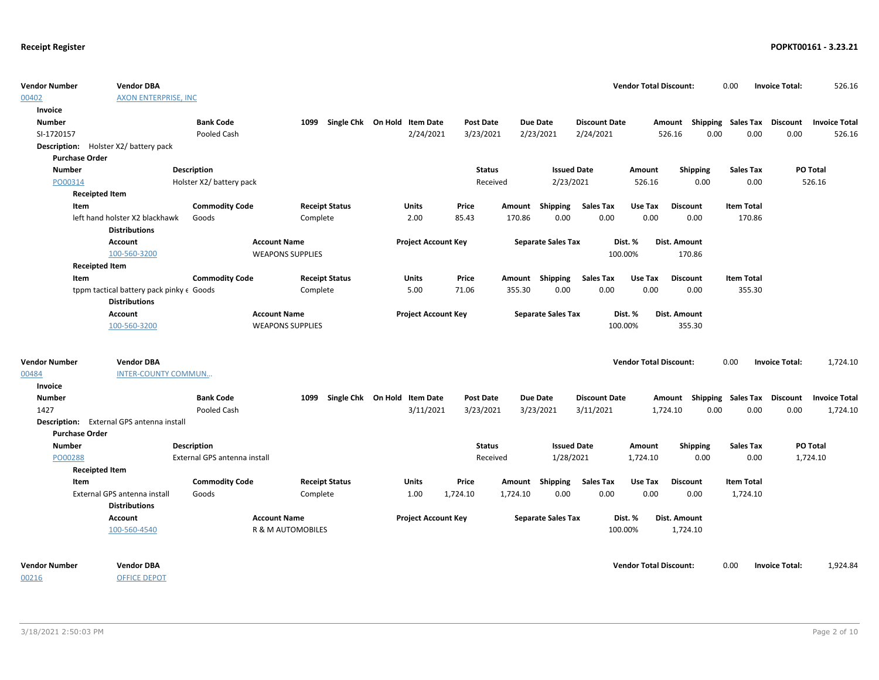| <b>Vendor Number</b><br>00402               | <b>Vendor DBA</b><br><b>AXON ENTERPRISE, INC</b> |                              |                         |                       |                              |                  |          |                           |                      | <b>Vendor Total Discount:</b> |                                    | 0.00              | <b>Invoice Total:</b> | 526.16                        |
|---------------------------------------------|--------------------------------------------------|------------------------------|-------------------------|-----------------------|------------------------------|------------------|----------|---------------------------|----------------------|-------------------------------|------------------------------------|-------------------|-----------------------|-------------------------------|
| Invoice                                     |                                                  |                              |                         |                       |                              |                  |          |                           |                      |                               |                                    |                   |                       |                               |
| <b>Number</b>                               |                                                  | <b>Bank Code</b>             | 1099                    |                       | Single Chk On Hold Item Date | <b>Post Date</b> |          | Due Date                  | <b>Discount Date</b> |                               | Amount Shipping Sales Tax          |                   |                       | <b>Discount</b> Invoice Total |
| SI-1720157                                  |                                                  | Pooled Cash                  |                         |                       | 2/24/2021                    | 3/23/2021        |          | 2/23/2021                 | 2/24/2021            |                               | 526.16<br>0.00                     | 0.00              | 0.00                  | 526.16                        |
| <b>Description:</b> Holster X2/battery pack |                                                  |                              |                         |                       |                              |                  |          |                           |                      |                               |                                    |                   |                       |                               |
| <b>Purchase Order</b>                       |                                                  |                              |                         |                       |                              |                  |          |                           |                      |                               |                                    |                   |                       |                               |
| <b>Number</b>                               |                                                  | <b>Description</b>           |                         |                       |                              | <b>Status</b>    |          | <b>Issued Date</b>        |                      | Amount                        | <b>Shipping</b>                    | <b>Sales Tax</b>  |                       | PO Total                      |
| PO00314                                     |                                                  | Holster X2/ battery pack     |                         |                       |                              | Received         |          | 2/23/2021                 |                      | 526.16                        | 0.00                               | 0.00              |                       | 526.16                        |
| <b>Receipted Item</b>                       |                                                  |                              |                         |                       |                              |                  |          |                           |                      |                               |                                    |                   |                       |                               |
| Item                                        |                                                  | <b>Commodity Code</b>        |                         | <b>Receipt Status</b> | Units                        | Price            |          | Amount Shipping           | <b>Sales Tax</b>     | Use Tax                       | <b>Discount</b>                    | <b>Item Total</b> |                       |                               |
|                                             | left hand holster X2 blackhawk                   | Goods                        |                         | Complete              | 2.00                         | 85.43            | 170.86   | 0.00                      | 0.00                 | 0.00                          | 0.00                               | 170.86            |                       |                               |
|                                             | <b>Distributions</b>                             |                              |                         |                       |                              |                  |          |                           |                      |                               |                                    |                   |                       |                               |
|                                             | <b>Account</b>                                   |                              | <b>Account Name</b>     |                       | <b>Project Account Key</b>   |                  |          | <b>Separate Sales Tax</b> |                      | Dist. %                       | Dist. Amount                       |                   |                       |                               |
|                                             | 100-560-3200                                     |                              | <b>WEAPONS SUPPLIES</b> |                       |                              |                  |          |                           |                      | 100.00%                       | 170.86                             |                   |                       |                               |
| <b>Receipted Item</b>                       |                                                  |                              |                         |                       |                              |                  |          |                           |                      |                               |                                    |                   |                       |                               |
| Item                                        |                                                  | <b>Commodity Code</b>        |                         | <b>Receipt Status</b> | Units                        | Price            |          | Amount Shipping           | <b>Sales Tax</b>     | Use Tax                       | <b>Discount</b>                    | <b>Item Total</b> |                       |                               |
|                                             | tppm tactical battery pack pinky e Goods         |                              |                         | Complete              | 5.00                         | 71.06            | 355.30   | 0.00                      | 0.00                 | 0.00                          | 0.00                               | 355.30            |                       |                               |
|                                             | <b>Distributions</b>                             |                              |                         |                       |                              |                  |          |                           |                      |                               |                                    |                   |                       |                               |
|                                             | Account                                          |                              | <b>Account Name</b>     |                       | <b>Project Account Key</b>   |                  |          | <b>Separate Sales Tax</b> |                      | Dist. %                       | Dist. Amount                       |                   |                       |                               |
|                                             | 100-560-3200                                     |                              | <b>WEAPONS SUPPLIES</b> |                       |                              |                  |          |                           |                      | 100.00%                       | 355.30                             |                   |                       |                               |
|                                             |                                                  |                              |                         |                       |                              |                  |          |                           |                      |                               |                                    |                   |                       |                               |
| <b>Vendor Number</b>                        | <b>Vendor DBA</b>                                |                              |                         |                       |                              |                  |          |                           |                      | <b>Vendor Total Discount:</b> |                                    | 0.00              | <b>Invoice Total:</b> | 1,724.10                      |
| 00484                                       | <b>INTER-COUNTY COMMUN</b>                       |                              |                         |                       |                              |                  |          |                           |                      |                               |                                    |                   |                       |                               |
| Invoice                                     |                                                  |                              |                         |                       |                              |                  |          |                           |                      |                               |                                    |                   |                       |                               |
| <b>Number</b>                               |                                                  | <b>Bank Code</b>             | 1099                    |                       | Single Chk On Hold Item Date | <b>Post Date</b> |          | Due Date                  | <b>Discount Date</b> |                               | Amount Shipping Sales Tax Discount |                   |                       | <b>Invoice Total</b>          |
| 1427                                        |                                                  | Pooled Cash                  |                         |                       | 3/11/2021                    | 3/23/2021        |          | 3/23/2021                 | 3/11/2021            |                               | 0.00<br>1,724.10                   | 0.00              | 0.00                  | 1,724.10                      |
|                                             | Description: External GPS antenna install        |                              |                         |                       |                              |                  |          |                           |                      |                               |                                    |                   |                       |                               |
| <b>Purchase Order</b>                       |                                                  |                              |                         |                       |                              |                  |          |                           |                      |                               |                                    |                   |                       |                               |
| <b>Number</b>                               |                                                  | <b>Description</b>           |                         |                       |                              | <b>Status</b>    |          | <b>Issued Date</b>        |                      | Amount                        | <b>Shipping</b>                    | <b>Sales Tax</b>  |                       | PO Total                      |
| PO00288                                     |                                                  | External GPS antenna install |                         |                       |                              | Received         |          | 1/28/2021                 |                      | 1,724.10                      | 0.00                               | 0.00              |                       | 1,724.10                      |
| <b>Receipted Item</b>                       |                                                  |                              |                         |                       |                              |                  |          |                           |                      |                               |                                    |                   |                       |                               |
| Item                                        |                                                  | <b>Commodity Code</b>        |                         | <b>Receipt Status</b> | Units                        | Price            |          | Amount Shipping           | <b>Sales Tax</b>     | Use Tax                       | <b>Discount</b>                    | <b>Item Total</b> |                       |                               |
|                                             | External GPS antenna install                     | Goods                        |                         | Complete              | 1.00                         | 1,724.10         | 1,724.10 | 0.00                      | 0.00                 | 0.00                          | 0.00                               | 1,724.10          |                       |                               |
|                                             | <b>Distributions</b>                             |                              |                         |                       |                              |                  |          |                           |                      |                               |                                    |                   |                       |                               |
|                                             | <b>Account</b>                                   |                              | <b>Account Name</b>     |                       | <b>Project Account Key</b>   |                  |          | <b>Separate Sales Tax</b> |                      | Dist. %                       | Dist. Amount                       |                   |                       |                               |
|                                             | 100-560-4540                                     |                              | R & M AUTOMOBILES       |                       |                              |                  |          |                           |                      | 100.00%                       | 1,724.10                           |                   |                       |                               |
|                                             |                                                  |                              |                         |                       |                              |                  |          |                           |                      |                               |                                    |                   |                       |                               |
| <b>Vendor Number</b>                        | <b>Vendor DBA</b>                                |                              |                         |                       |                              |                  |          |                           |                      | <b>Vendor Total Discount:</b> |                                    | 0.00              | <b>Invoice Total:</b> | 1,924.84                      |
| 00216                                       | <b>OFFICE DEPOT</b>                              |                              |                         |                       |                              |                  |          |                           |                      |                               |                                    |                   |                       |                               |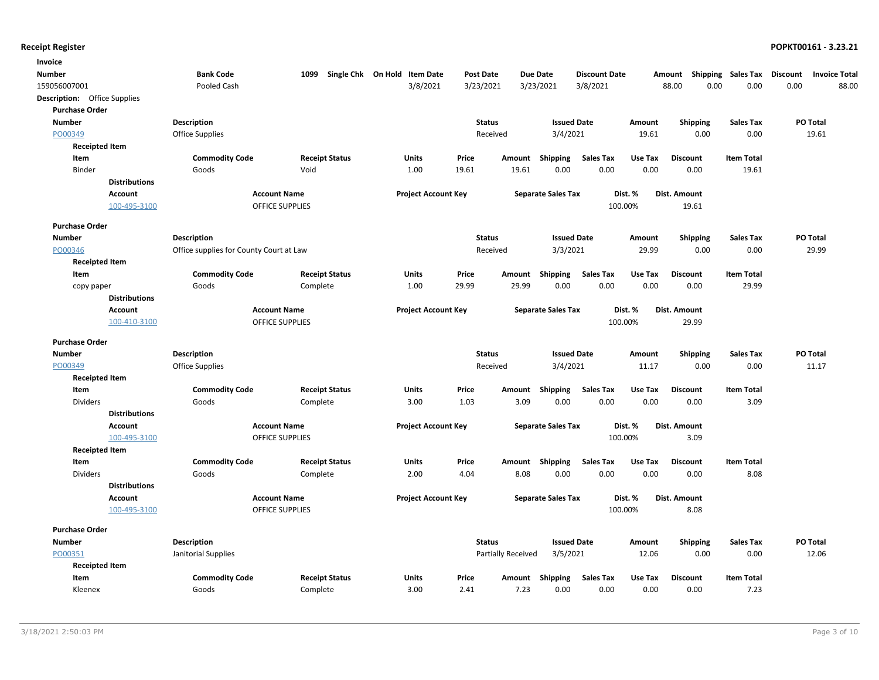| Invoice                             |                                         |                        |                              |                  |                    |                           |                      |         |                     |                           |                                         |
|-------------------------------------|-----------------------------------------|------------------------|------------------------------|------------------|--------------------|---------------------------|----------------------|---------|---------------------|---------------------------|-----------------------------------------|
| Number                              | <b>Bank Code</b>                        | 1099                   | Single Chk On Hold Item Date | <b>Post Date</b> |                    | <b>Due Date</b>           | <b>Discount Date</b> |         | Amount              | <b>Shipping Sales Tax</b> | <b>Discount</b><br><b>Invoice Total</b> |
| 159056007001                        | Pooled Cash                             |                        | 3/8/2021                     | 3/23/2021        |                    | 3/23/2021                 | 3/8/2021             |         | 0.00<br>88.00       | 0.00                      | 0.00<br>88.00                           |
| <b>Description:</b> Office Supplies |                                         |                        |                              |                  |                    |                           |                      |         |                     |                           |                                         |
| <b>Purchase Order</b>               |                                         |                        |                              |                  |                    |                           |                      |         |                     |                           |                                         |
| <b>Number</b>                       | <b>Description</b>                      |                        |                              | <b>Status</b>    |                    | <b>Issued Date</b>        |                      | Amount  | Shipping            | <b>Sales Tax</b>          | PO Total                                |
| PO00349                             | Office Supplies                         |                        |                              |                  | Received           | 3/4/2021                  |                      | 19.61   | 0.00                | 0.00                      | 19.61                                   |
| <b>Receipted Item</b>               |                                         |                        |                              |                  |                    |                           |                      |         |                     |                           |                                         |
| Item                                | <b>Commodity Code</b>                   | <b>Receipt Status</b>  | Units                        | Price            | Amount             | Shipping                  | <b>Sales Tax</b>     | Use Tax | <b>Discount</b>     | <b>Item Total</b>         |                                         |
| Binder                              | Goods                                   | Void                   | 1.00                         | 19.61            | 19.61              | 0.00                      | 0.00                 | 0.00    | 0.00                | 19.61                     |                                         |
| <b>Distributions</b>                |                                         |                        |                              |                  |                    |                           |                      |         |                     |                           |                                         |
| <b>Account</b>                      |                                         | <b>Account Name</b>    | <b>Project Account Key</b>   |                  |                    | <b>Separate Sales Tax</b> |                      | Dist. % | Dist. Amount        |                           |                                         |
| 100-495-3100                        |                                         | <b>OFFICE SUPPLIES</b> |                              |                  |                    |                           |                      | 100.00% | 19.61               |                           |                                         |
| <b>Purchase Order</b>               |                                         |                        |                              |                  |                    |                           |                      |         |                     |                           |                                         |
| <b>Number</b>                       | <b>Description</b>                      |                        |                              | <b>Status</b>    |                    | <b>Issued Date</b>        |                      | Amount  | <b>Shipping</b>     | <b>Sales Tax</b>          | PO Total                                |
| PO00346                             | Office supplies for County Court at Law |                        |                              |                  | Received           | 3/3/2021                  |                      | 29.99   | 0.00                | 0.00                      | 29.99                                   |
| <b>Receipted Item</b>               |                                         |                        |                              |                  |                    |                           |                      |         |                     |                           |                                         |
| Item                                | <b>Commodity Code</b>                   | <b>Receipt Status</b>  | Units                        | Price            | Amount             | Shipping                  | <b>Sales Tax</b>     | Use Tax | <b>Discount</b>     | <b>Item Total</b>         |                                         |
| copy paper                          | Goods                                   | Complete               | 1.00                         | 29.99            | 29.99              | 0.00                      | 0.00                 | 0.00    | 0.00                | 29.99                     |                                         |
| <b>Distributions</b>                |                                         |                        |                              |                  |                    |                           |                      |         |                     |                           |                                         |
| <b>Account</b>                      |                                         | <b>Account Name</b>    | <b>Project Account Key</b>   |                  |                    | <b>Separate Sales Tax</b> |                      | Dist. % | <b>Dist. Amount</b> |                           |                                         |
| 100-410-3100                        |                                         | OFFICE SUPPLIES        |                              |                  |                    |                           | 100.00%              |         | 29.99               |                           |                                         |
| <b>Purchase Order</b>               |                                         |                        |                              |                  |                    |                           |                      |         |                     |                           |                                         |
| <b>Number</b>                       | <b>Description</b>                      |                        |                              | <b>Status</b>    |                    | <b>Issued Date</b>        |                      | Amount  | <b>Shipping</b>     | <b>Sales Tax</b>          | PO Total                                |
| PO00349                             | <b>Office Supplies</b>                  |                        |                              |                  | Received           | 3/4/2021                  |                      | 11.17   | 0.00                | 0.00                      | 11.17                                   |
| <b>Receipted Item</b>               |                                         |                        |                              |                  |                    |                           |                      |         |                     |                           |                                         |
| Item                                | <b>Commodity Code</b>                   | <b>Receipt Status</b>  | <b>Units</b>                 | Price            | Amount             | Shipping                  | <b>Sales Tax</b>     | Use Tax | <b>Discount</b>     | <b>Item Total</b>         |                                         |
| <b>Dividers</b>                     | Goods                                   | Complete               | 3.00                         | 1.03             | 3.09               | 0.00                      | 0.00                 | 0.00    | 0.00                | 3.09                      |                                         |
| <b>Distributions</b>                |                                         |                        |                              |                  |                    |                           |                      |         |                     |                           |                                         |
| <b>Account</b>                      |                                         | <b>Account Name</b>    | <b>Project Account Key</b>   |                  |                    | <b>Separate Sales Tax</b> |                      | Dist. % | Dist. Amount        |                           |                                         |
| 100-495-3100                        |                                         | <b>OFFICE SUPPLIES</b> |                              |                  |                    |                           | 100.00%              |         | 3.09                |                           |                                         |
| <b>Receipted Item</b>               |                                         |                        |                              |                  |                    |                           |                      |         |                     |                           |                                         |
| Item                                | <b>Commodity Code</b>                   | <b>Receipt Status</b>  | Units                        | Price            | Amount             | <b>Shipping</b>           | <b>Sales Tax</b>     | Use Tax | <b>Discount</b>     | <b>Item Total</b>         |                                         |
| <b>Dividers</b>                     | Goods                                   | Complete               | 2.00                         | 4.04             | 8.08               | 0.00                      | 0.00                 | 0.00    | 0.00                | 8.08                      |                                         |
| <b>Distributions</b>                |                                         |                        |                              |                  |                    |                           |                      |         |                     |                           |                                         |
| Account                             |                                         | <b>Account Name</b>    | <b>Project Account Key</b>   |                  |                    | <b>Separate Sales Tax</b> |                      | Dist. % | <b>Dist. Amount</b> |                           |                                         |
| 100-495-3100                        |                                         | <b>OFFICE SUPPLIES</b> |                              |                  |                    |                           | 100.00%              |         | 8.08                |                           |                                         |
|                                     |                                         |                        |                              |                  |                    |                           |                      |         |                     |                           |                                         |
| <b>Purchase Order</b>               |                                         |                        |                              |                  |                    |                           |                      |         |                     |                           |                                         |
| <b>Number</b>                       | <b>Description</b>                      |                        |                              | <b>Status</b>    |                    | <b>Issued Date</b>        |                      | Amount  | <b>Shipping</b>     | <b>Sales Tax</b>          | PO Total                                |
| PO00351                             | Janitorial Supplies                     |                        |                              |                  | Partially Received | 3/5/2021                  |                      | 12.06   | 0.00                | 0.00                      | 12.06                                   |
| <b>Receipted Item</b>               |                                         |                        |                              |                  |                    |                           |                      |         |                     |                           |                                         |
| Item                                | <b>Commodity Code</b>                   | <b>Receipt Status</b>  | <b>Units</b>                 | Price            |                    | Amount Shipping           | <b>Sales Tax</b>     | Use Tax | <b>Discount</b>     | <b>Item Total</b>         |                                         |
| Kleenex                             | Goods                                   | Complete               | 3.00                         | 2.41             | 7.23               | 0.00                      | 0.00                 | 0.00    | 0.00                | 7.23                      |                                         |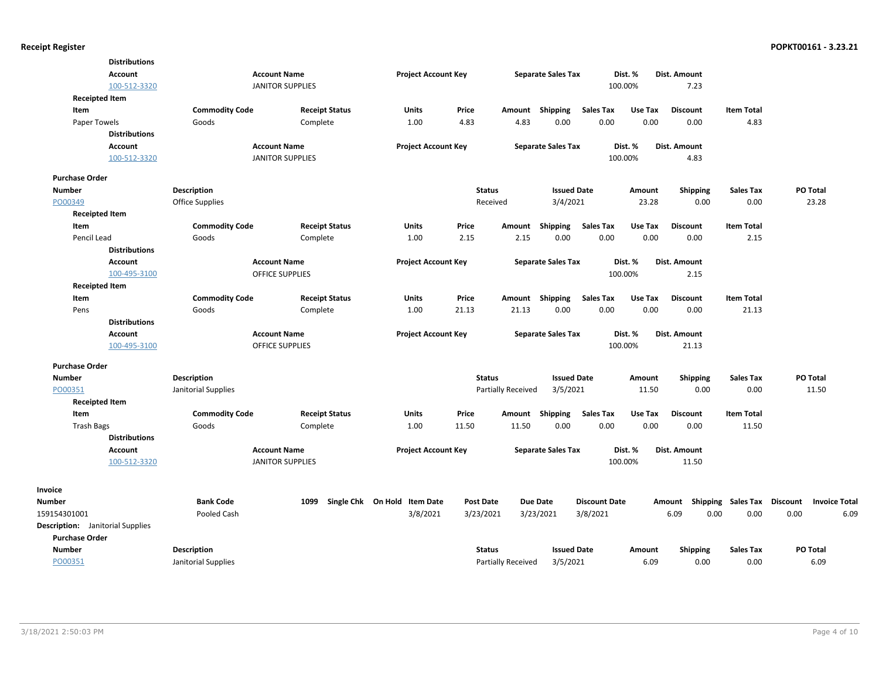| <b>Distributions</b>                    |                       |                         |                              |                  |                           |                           |                      |         |                 |                    |                 |                      |
|-----------------------------------------|-----------------------|-------------------------|------------------------------|------------------|---------------------------|---------------------------|----------------------|---------|-----------------|--------------------|-----------------|----------------------|
| <b>Account</b>                          |                       | <b>Account Name</b>     | <b>Project Account Key</b>   |                  |                           | <b>Separate Sales Tax</b> | Dist. %              |         | Dist. Amount    |                    |                 |                      |
| 100-512-3320                            |                       | <b>JANITOR SUPPLIES</b> |                              |                  |                           |                           | 100.00%              |         | 7.23            |                    |                 |                      |
| <b>Receipted Item</b>                   |                       |                         |                              |                  |                           |                           |                      |         |                 |                    |                 |                      |
| Item                                    | <b>Commodity Code</b> | <b>Receipt Status</b>   | <b>Units</b>                 | Price            | Amount                    | <b>Shipping</b>           | <b>Sales Tax</b>     | Use Tax | <b>Discount</b> | <b>Item Total</b>  |                 |                      |
| Paper Towels                            | Goods                 | Complete                | 1.00                         | 4.83             | 4.83                      | 0.00                      | 0.00                 | 0.00    | 0.00            | 4.83               |                 |                      |
| <b>Distributions</b>                    |                       |                         |                              |                  |                           |                           |                      |         |                 |                    |                 |                      |
| <b>Account</b>                          |                       | <b>Account Name</b>     | <b>Project Account Key</b>   |                  |                           | <b>Separate Sales Tax</b> | Dist. %              |         | Dist. Amount    |                    |                 |                      |
| 100-512-3320                            |                       | <b>JANITOR SUPPLIES</b> |                              |                  |                           |                           | 100.00%              |         | 4.83            |                    |                 |                      |
| <b>Purchase Order</b>                   |                       |                         |                              |                  |                           |                           |                      |         |                 |                    |                 |                      |
| <b>Number</b>                           | <b>Description</b>    |                         |                              | <b>Status</b>    |                           | <b>Issued Date</b>        |                      | Amount  | <b>Shipping</b> | <b>Sales Tax</b>   | PO Total        |                      |
| PO00349                                 | Office Supplies       |                         |                              | Received         |                           | 3/4/2021                  |                      | 23.28   | 0.00            | 0.00               | 23.28           |                      |
| <b>Receipted Item</b>                   |                       |                         |                              |                  |                           |                           |                      |         |                 |                    |                 |                      |
| Item                                    | <b>Commodity Code</b> | <b>Receipt Status</b>   | Units                        | Price            | Amount                    | Shipping                  | <b>Sales Tax</b>     | Use Tax | <b>Discount</b> | <b>Item Total</b>  |                 |                      |
| Pencil Lead                             | Goods                 | Complete                | 1.00                         | 2.15             | 2.15                      | 0.00                      | 0.00                 | 0.00    | 0.00            | 2.15               |                 |                      |
| <b>Distributions</b>                    |                       |                         |                              |                  |                           |                           |                      |         |                 |                    |                 |                      |
| <b>Account</b>                          |                       | <b>Account Name</b>     | <b>Project Account Key</b>   |                  |                           | <b>Separate Sales Tax</b> | Dist. %              |         | Dist. Amount    |                    |                 |                      |
| 100-495-3100                            |                       | <b>OFFICE SUPPLIES</b>  |                              |                  |                           |                           | 100.00%              |         | 2.15            |                    |                 |                      |
| <b>Receipted Item</b>                   |                       |                         |                              |                  |                           |                           |                      |         |                 |                    |                 |                      |
| Item                                    | <b>Commodity Code</b> | <b>Receipt Status</b>   | Units                        | Price            | Amount                    | Shipping                  | <b>Sales Tax</b>     | Use Tax | <b>Discount</b> | <b>Item Total</b>  |                 |                      |
| Pens                                    | Goods                 | Complete                | 1.00                         | 21.13            | 21.13                     | 0.00                      | 0.00                 | 0.00    | 0.00            | 21.13              |                 |                      |
| <b>Distributions</b>                    |                       |                         |                              |                  |                           |                           |                      |         |                 |                    |                 |                      |
| Account                                 |                       | <b>Account Name</b>     | <b>Project Account Key</b>   |                  |                           | <b>Separate Sales Tax</b> | Dist. %              |         | Dist. Amount    |                    |                 |                      |
| 100-495-3100                            |                       | <b>OFFICE SUPPLIES</b>  |                              |                  |                           |                           | 100.00%              |         | 21.13           |                    |                 |                      |
| <b>Purchase Order</b>                   |                       |                         |                              |                  |                           |                           |                      |         |                 |                    |                 |                      |
| Number                                  | Description           |                         |                              | <b>Status</b>    |                           | <b>Issued Date</b>        |                      | Amount  | <b>Shipping</b> | <b>Sales Tax</b>   | PO Total        |                      |
| PO00351                                 | Janitorial Supplies   |                         |                              |                  | Partially Received        | 3/5/2021                  |                      | 11.50   | 0.00            | 0.00               | 11.50           |                      |
| <b>Receipted Item</b>                   |                       |                         |                              |                  |                           |                           |                      |         |                 |                    |                 |                      |
| Item                                    | <b>Commodity Code</b> | <b>Receipt Status</b>   | Units                        | Price            | Amount                    | Shipping                  | <b>Sales Tax</b>     | Use Tax | <b>Discount</b> | <b>Item Total</b>  |                 |                      |
| <b>Trash Bags</b>                       | Goods                 | Complete                | 1.00                         | 11.50            | 11.50                     | 0.00                      | 0.00                 | 0.00    | 0.00            | 11.50              |                 |                      |
| <b>Distributions</b>                    |                       |                         |                              |                  |                           |                           |                      |         |                 |                    |                 |                      |
| Account                                 |                       | <b>Account Name</b>     | <b>Project Account Key</b>   |                  |                           | <b>Separate Sales Tax</b> | Dist. %              |         | Dist. Amount    |                    |                 |                      |
| 100-512-3320                            |                       | <b>JANITOR SUPPLIES</b> |                              |                  |                           |                           | 100.00%              |         | 11.50           |                    |                 |                      |
| Invoice                                 |                       |                         |                              |                  |                           |                           |                      |         |                 |                    |                 |                      |
| <b>Number</b>                           | <b>Bank Code</b>      | 1099                    | Single Chk On Hold Item Date | <b>Post Date</b> | <b>Due Date</b>           |                           | <b>Discount Date</b> |         | Amount          | Shipping Sales Tax | <b>Discount</b> | <b>Invoice Total</b> |
| 159154301001                            | Pooled Cash           |                         | 3/8/2021                     | 3/23/2021        | 3/23/2021                 |                           | 3/8/2021             |         | 6.09<br>0.00    | 0.00               | 0.00            | 6.09                 |
| <b>Description:</b> Janitorial Supplies |                       |                         |                              |                  |                           |                           |                      |         |                 |                    |                 |                      |
| <b>Purchase Order</b>                   |                       |                         |                              |                  |                           |                           |                      |         |                 |                    |                 |                      |
| <b>Number</b>                           | <b>Description</b>    |                         |                              | <b>Status</b>    |                           | <b>Issued Date</b>        |                      | Amount  | Shipping        | <b>Sales Tax</b>   | PO Total        |                      |
| PO00351                                 | Janitorial Supplies   |                         |                              |                  | <b>Partially Received</b> | 3/5/2021                  |                      | 6.09    | 0.00            | 0.00               | 6.09            |                      |
|                                         |                       |                         |                              |                  |                           |                           |                      |         |                 |                    |                 |                      |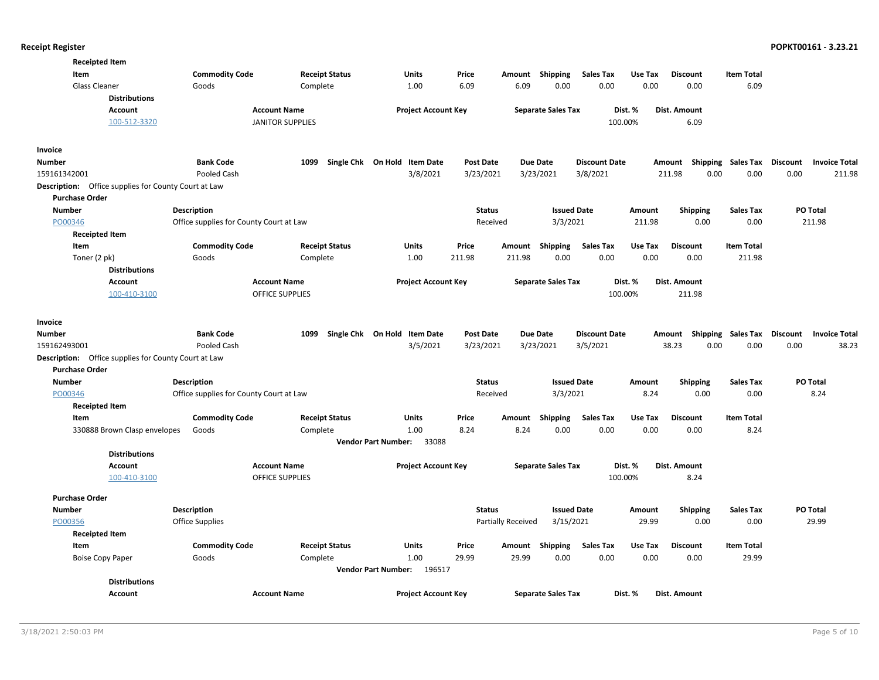| <b>Receipted Item</b>                                       |                                         |                            |                                     |                  |                           |                           |                      |         |                           |                           |                                         |
|-------------------------------------------------------------|-----------------------------------------|----------------------------|-------------------------------------|------------------|---------------------------|---------------------------|----------------------|---------|---------------------------|---------------------------|-----------------------------------------|
| Item                                                        | <b>Commodity Code</b>                   | <b>Receipt Status</b>      | Units                               | Price            | Amount                    | <b>Shipping</b>           | <b>Sales Tax</b>     | Use Tax | <b>Discount</b>           | <b>Item Total</b>         |                                         |
| Glass Cleaner                                               | Goods                                   | Complete                   | 1.00                                | 6.09             | 6.09                      | 0.00                      | 0.00                 | 0.00    | 0.00                      | 6.09                      |                                         |
| <b>Distributions</b>                                        |                                         |                            |                                     |                  |                           |                           |                      |         |                           |                           |                                         |
| Account                                                     | <b>Account Name</b>                     |                            | <b>Project Account Key</b>          |                  |                           | <b>Separate Sales Tax</b> |                      | Dist. % | <b>Dist. Amount</b>       |                           |                                         |
| 100-512-3320                                                |                                         | <b>JANITOR SUPPLIES</b>    |                                     |                  |                           |                           |                      | 100.00% | 6.09                      |                           |                                         |
| Invoice                                                     |                                         |                            |                                     |                  |                           |                           |                      |         |                           |                           |                                         |
| Number                                                      | <b>Bank Code</b>                        | Single Chk On Hold<br>1099 | <b>Item Date</b>                    | <b>Post Date</b> | Due Date                  |                           | <b>Discount Date</b> |         | Amount Shipping Sales Tax |                           | Discount<br><b>Invoice Total</b>        |
| 159161342001                                                | Pooled Cash                             |                            | 3/8/2021                            | 3/23/2021        |                           | 3/23/2021                 | 3/8/2021             |         | 211.98<br>0.00            | 0.00                      | 0.00<br>211.98                          |
| <b>Description:</b> Office supplies for County Court at Law |                                         |                            |                                     |                  |                           |                           |                      |         |                           |                           |                                         |
| <b>Purchase Order</b>                                       |                                         |                            |                                     |                  |                           |                           |                      |         |                           |                           |                                         |
| <b>Number</b>                                               | <b>Description</b>                      |                            |                                     | <b>Status</b>    |                           | <b>Issued Date</b>        |                      | Amount  | <b>Shipping</b>           | <b>Sales Tax</b>          | <b>PO Total</b>                         |
| PO00346                                                     | Office supplies for County Court at Law |                            |                                     | Received         |                           | 3/3/2021                  |                      | 211.98  | 0.00                      | 0.00                      | 211.98                                  |
| <b>Receipted Item</b>                                       |                                         |                            |                                     |                  |                           |                           |                      |         |                           |                           |                                         |
| Item                                                        | <b>Commodity Code</b>                   | <b>Receipt Status</b>      | Units                               | Price            | Amount                    | Shipping                  | <b>Sales Tax</b>     | Use Tax | <b>Discount</b>           | <b>Item Total</b>         |                                         |
| Toner (2 pk)                                                | Goods                                   | Complete                   | 1.00                                | 211.98           | 211.98                    | 0.00                      | 0.00                 | 0.00    | 0.00                      | 211.98                    |                                         |
| <b>Distributions</b>                                        |                                         |                            |                                     |                  |                           |                           |                      |         |                           |                           |                                         |
| Account                                                     | <b>Account Name</b>                     |                            | <b>Project Account Key</b>          |                  |                           | <b>Separate Sales Tax</b> |                      | Dist. % | Dist. Amount              |                           |                                         |
| 100-410-3100                                                |                                         | <b>OFFICE SUPPLIES</b>     |                                     |                  |                           |                           |                      | 100.00% | 211.98                    |                           |                                         |
| Invoice                                                     |                                         |                            |                                     |                  |                           |                           |                      |         |                           |                           |                                         |
| <b>Number</b>                                               | <b>Bank Code</b>                        | 1099                       | Single Chk On Hold Item Date        | <b>Post Date</b> | <b>Due Date</b>           |                           | <b>Discount Date</b> |         | Amount                    | <b>Shipping Sales Tax</b> | <b>Discount</b><br><b>Invoice Total</b> |
| 159162493001                                                | Pooled Cash                             |                            | 3/5/2021                            | 3/23/2021        |                           | 3/23/2021                 | 3/5/2021             |         | 0.00<br>38.23             | 0.00                      | 0.00<br>38.23                           |
| <b>Description:</b> Office supplies for County Court at Law |                                         |                            |                                     |                  |                           |                           |                      |         |                           |                           |                                         |
| <b>Purchase Order</b>                                       |                                         |                            |                                     |                  |                           |                           |                      |         |                           |                           |                                         |
| Number                                                      | <b>Description</b>                      |                            |                                     | <b>Status</b>    |                           | <b>Issued Date</b>        |                      | Amount  | <b>Shipping</b>           | <b>Sales Tax</b>          | PO Total                                |
| PO00346                                                     | Office supplies for County Court at Law |                            |                                     | Received         |                           | 3/3/2021                  |                      | 8.24    | 0.00                      | 0.00                      | 8.24                                    |
| <b>Receipted Item</b>                                       |                                         |                            |                                     |                  |                           |                           |                      |         |                           |                           |                                         |
| Item                                                        | <b>Commodity Code</b>                   | <b>Receipt Status</b>      | <b>Units</b>                        | Price            | Amount                    | <b>Shipping</b>           | <b>Sales Tax</b>     | Use Tax | <b>Discount</b>           | <b>Item Total</b>         |                                         |
| 330888 Brown Clasp envelopes                                | Goods                                   | Complete                   | 1.00                                | 8.24             | 8.24                      | 0.00                      | 0.00                 | 0.00    | 0.00                      | 8.24                      |                                         |
|                                                             |                                         |                            | <b>Vendor Part Number:</b><br>33088 |                  |                           |                           |                      |         |                           |                           |                                         |
| <b>Distributions</b>                                        |                                         |                            |                                     |                  |                           |                           |                      |         |                           |                           |                                         |
| Account                                                     | <b>Account Name</b>                     |                            | <b>Project Account Key</b>          |                  |                           | <b>Separate Sales Tax</b> |                      | Dist. % | Dist. Amount              |                           |                                         |
| 100-410-3100                                                |                                         | <b>OFFICE SUPPLIES</b>     |                                     |                  |                           |                           |                      | 100.00% | 8.24                      |                           |                                         |
| <b>Purchase Order</b>                                       |                                         |                            |                                     |                  |                           |                           |                      |         |                           |                           |                                         |
| <b>Number</b>                                               | <b>Description</b>                      |                            |                                     | <b>Status</b>    |                           | <b>Issued Date</b>        |                      | Amount  | <b>Shipping</b>           | <b>Sales Tax</b>          | <b>PO Total</b>                         |
| PO00356                                                     | Office Supplies                         |                            |                                     |                  | <b>Partially Received</b> | 3/15/2021                 |                      | 29.99   | 0.00                      | 0.00                      | 29.99                                   |
| <b>Receipted Item</b>                                       |                                         |                            |                                     |                  |                           |                           |                      |         |                           |                           |                                         |
| Item                                                        | <b>Commodity Code</b>                   | <b>Receipt Status</b>      | Units                               | Price            | Amount                    | Shipping                  | <b>Sales Tax</b>     | Use Tax | <b>Discount</b>           | <b>Item Total</b>         |                                         |
| <b>Boise Copy Paper</b>                                     | Goods                                   | Complete                   | 1.00                                | 29.99            | 29.99                     | 0.00                      | 0.00                 | 0.00    | 0.00                      | 29.99                     |                                         |
|                                                             |                                         |                            | Vendor Part Number: 196517          |                  |                           |                           |                      |         |                           |                           |                                         |
| <b>Distributions</b>                                        |                                         |                            |                                     |                  |                           |                           |                      |         |                           |                           |                                         |
| Account                                                     | <b>Account Name</b>                     |                            | <b>Project Account Key</b>          |                  |                           | <b>Separate Sales Tax</b> |                      | Dist. % | Dist. Amount              |                           |                                         |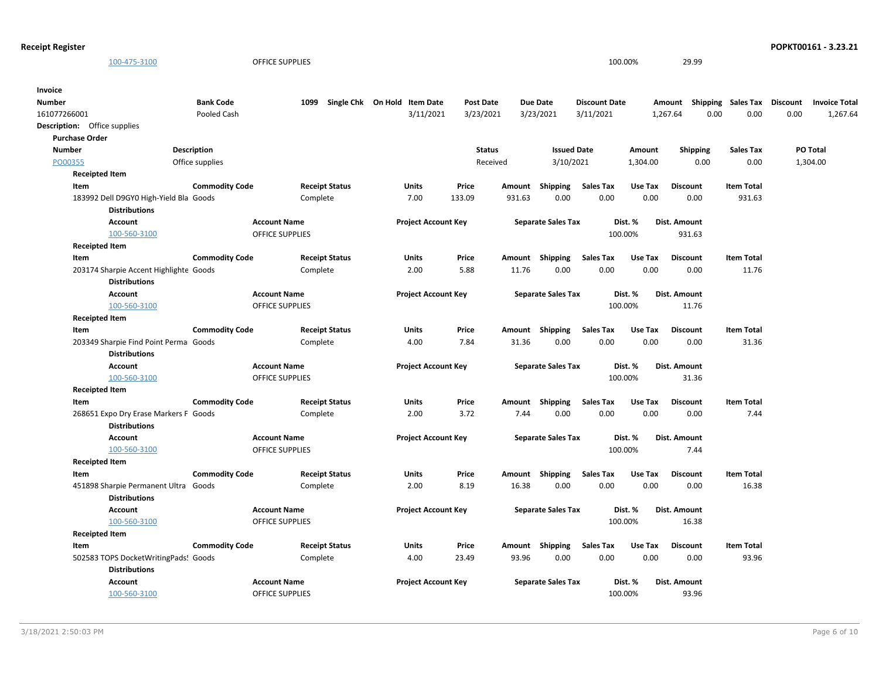| <b>Receipt Register</b>                |                       |                        |                              |                  |        |                           |                      |          |                  |                             |      | POPKT00161 - 3.23.21 |
|----------------------------------------|-----------------------|------------------------|------------------------------|------------------|--------|---------------------------|----------------------|----------|------------------|-----------------------------|------|----------------------|
| 100-475-3100                           |                       | <b>OFFICE SUPPLIES</b> |                              |                  |        |                           |                      | 100.00%  | 29.99            |                             |      |                      |
|                                        |                       |                        |                              |                  |        |                           |                      |          |                  |                             |      |                      |
| Invoice                                |                       |                        |                              |                  |        |                           |                      |          |                  |                             |      |                      |
| <b>Number</b>                          | <b>Bank Code</b>      | 1099                   | Single Chk On Hold Item Date | <b>Post Date</b> |        | <b>Due Date</b>           | <b>Discount Date</b> |          | Amount           | Shipping Sales Tax Discount |      | <b>Invoice Total</b> |
| 161077266001                           | Pooled Cash           |                        | 3/11/2021                    | 3/23/2021        |        | 3/23/2021                 | 3/11/2021            |          | 0.00<br>1,267.64 | 0.00                        | 0.00 | 1,267.64             |
| <b>Description:</b> Office supplies    |                       |                        |                              |                  |        |                           |                      |          |                  |                             |      |                      |
| <b>Purchase Order</b>                  |                       |                        |                              |                  |        |                           |                      |          |                  |                             |      |                      |
| <b>Number</b>                          | <b>Description</b>    |                        |                              | <b>Status</b>    |        | <b>Issued Date</b>        |                      | Amount   | <b>Shipping</b>  | <b>Sales Tax</b>            |      | PO Total             |
| PO00355                                | Office supplies       |                        |                              | Received         |        | 3/10/2021                 |                      | 1,304.00 | 0.00             | 0.00                        |      | 1,304.00             |
| <b>Receipted Item</b>                  |                       |                        |                              |                  |        |                           |                      |          |                  |                             |      |                      |
| Item                                   | <b>Commodity Code</b> | <b>Receipt Status</b>  | Units                        | Price            | Amount | Shipping                  | Sales Tax            | Use Tax  | <b>Discount</b>  | <b>Item Total</b>           |      |                      |
| 183992 Dell D9GY0 High-Yield Bla Goods |                       | Complete               | 7.00                         | 133.09           | 931.63 | 0.00                      | 0.00                 | 0.00     | 0.00             | 931.63                      |      |                      |
| <b>Distributions</b>                   |                       |                        |                              |                  |        |                           |                      |          |                  |                             |      |                      |
| <b>Account</b>                         | <b>Account Name</b>   |                        | <b>Project Account Key</b>   |                  |        | <b>Separate Sales Tax</b> |                      | Dist. %  | Dist. Amount     |                             |      |                      |
| 100-560-3100                           |                       | <b>OFFICE SUPPLIES</b> |                              |                  |        |                           |                      | 100.00%  | 931.63           |                             |      |                      |
| <b>Receipted Item</b>                  |                       |                        |                              |                  |        |                           |                      |          |                  |                             |      |                      |
| Item                                   | <b>Commodity Code</b> | <b>Receipt Status</b>  | Units                        | Price            |        | Amount Shipping           | <b>Sales Tax</b>     | Use Tax  | <b>Discount</b>  | <b>Item Total</b>           |      |                      |
| 203174 Sharpie Accent Highlighte Goods |                       | Complete               | 2.00                         | 5.88             | 11.76  | 0.00                      | 0.00                 | 0.00     | 0.00             | 11.76                       |      |                      |
| <b>Distributions</b>                   |                       |                        |                              |                  |        |                           |                      |          |                  |                             |      |                      |
| Account                                | <b>Account Name</b>   |                        | <b>Project Account Key</b>   |                  |        | <b>Separate Sales Tax</b> |                      | Dist. %  | Dist. Amount     |                             |      |                      |
| 100-560-3100                           |                       | <b>OFFICE SUPPLIES</b> |                              |                  |        |                           |                      | 100.00%  | 11.76            |                             |      |                      |
| <b>Receipted Item</b>                  |                       |                        |                              |                  |        |                           |                      |          |                  |                             |      |                      |
| Item                                   | <b>Commodity Code</b> | <b>Receipt Status</b>  | Units                        | Price            |        | Amount Shipping           | <b>Sales Tax</b>     | Use Tax  | <b>Discount</b>  | <b>Item Total</b>           |      |                      |
| 203349 Sharpie Find Point Perma Goods  |                       | Complete               | 4.00                         | 7.84             | 31.36  | 0.00                      | 0.00                 | 0.00     | 0.00             | 31.36                       |      |                      |
| <b>Distributions</b>                   |                       |                        |                              |                  |        |                           |                      |          |                  |                             |      |                      |
| <b>Account</b>                         | <b>Account Name</b>   |                        | <b>Project Account Key</b>   |                  |        | <b>Separate Sales Tax</b> |                      | Dist. %  | Dist. Amount     |                             |      |                      |
| 100-560-3100                           |                       | <b>OFFICE SUPPLIES</b> |                              |                  |        |                           |                      | 100.00%  | 31.36            |                             |      |                      |
| <b>Receipted Item</b>                  |                       |                        |                              |                  |        |                           |                      |          |                  |                             |      |                      |
| Item                                   | <b>Commodity Code</b> | <b>Receipt Status</b>  | Units                        | Price            |        | Amount Shipping           | <b>Sales Tax</b>     | Use Tax  | <b>Discount</b>  | <b>Item Total</b>           |      |                      |
| 268651 Expo Dry Erase Markers F Goods  |                       | Complete               | 2.00                         | 3.72             | 7.44   | 0.00                      | 0.00                 | 0.00     | 0.00             | 7.44                        |      |                      |
| <b>Distributions</b>                   |                       |                        |                              |                  |        |                           |                      |          |                  |                             |      |                      |
| Account                                | <b>Account Name</b>   |                        | <b>Project Account Key</b>   |                  |        | <b>Separate Sales Tax</b> |                      | Dist. %  | Dist. Amount     |                             |      |                      |
| 100-560-3100                           |                       | OFFICE SUPPLIES        |                              |                  |        |                           |                      | 100.00%  | 7.44             |                             |      |                      |
| <b>Receipted Item</b>                  |                       |                        |                              |                  |        |                           |                      |          |                  |                             |      |                      |
| Item                                   | <b>Commodity Code</b> | <b>Receipt Status</b>  | Units                        | Price            |        | Amount Shipping           | <b>Sales Tax</b>     | Use Tax  | <b>Discount</b>  | <b>Item Total</b>           |      |                      |
| 451898 Sharpie Permanent Ultra Goods   |                       | Complete               | 2.00                         | 8.19             | 16.38  | 0.00                      | 0.00                 | 0.00     | 0.00             | 16.38                       |      |                      |
| <b>Distributions</b>                   |                       |                        |                              |                  |        |                           |                      |          |                  |                             |      |                      |
| Account                                | <b>Account Name</b>   |                        | <b>Project Account Key</b>   |                  |        | <b>Separate Sales Tax</b> |                      | Dist. %  | Dist. Amount     |                             |      |                      |
| 100-560-3100                           |                       | <b>OFFICE SUPPLIES</b> |                              |                  |        |                           |                      | 100.00%  | 16.38            |                             |      |                      |
| <b>Receipted Item</b>                  |                       |                        |                              |                  |        |                           |                      |          |                  |                             |      |                      |
| Item                                   | <b>Commodity Code</b> | <b>Receipt Status</b>  | Units                        | Price            | Amount | Shipping                  | <b>Sales Tax</b>     | Use Tax  | <b>Discount</b>  | <b>Item Total</b>           |      |                      |
| 502583 TOPS DocketWritingPads! Goods   |                       | Complete               | 4.00                         | 23.49            | 93.96  | 0.00                      | 0.00                 | 0.00     | 0.00             | 93.96                       |      |                      |
| <b>Distributions</b>                   |                       |                        |                              |                  |        |                           |                      |          |                  |                             |      |                      |
| <b>Account</b>                         | <b>Account Name</b>   |                        | <b>Project Account Key</b>   |                  |        | <b>Separate Sales Tax</b> |                      | Dist. %  | Dist. Amount     |                             |      |                      |
| 100-560-3100                           |                       | <b>OFFICE SUPPLIES</b> |                              |                  |        |                           |                      | 100.00%  | 93.96            |                             |      |                      |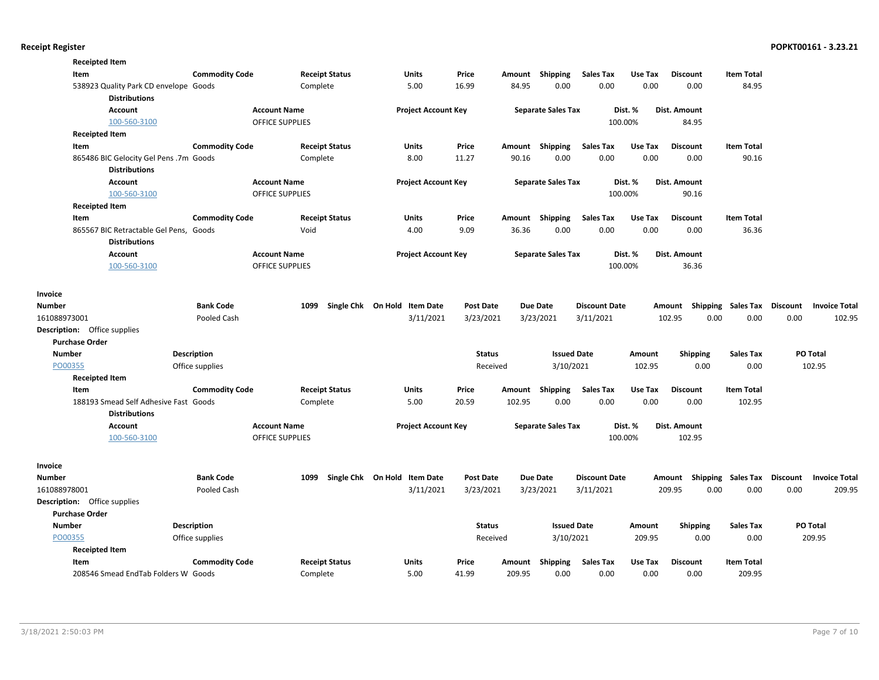| <b>Receipted Item</b><br>Item          | <b>Commodity Code</b> | <b>Receipt Status</b>  | Units                        | Price            | Amount | Shipping                  | <b>Sales Tax</b>     | Use Tax | <b>Discount</b> | <b>Item Total</b>                  |                                  |
|----------------------------------------|-----------------------|------------------------|------------------------------|------------------|--------|---------------------------|----------------------|---------|-----------------|------------------------------------|----------------------------------|
| 538923 Quality Park CD envelope Goods  |                       | Complete               | 5.00                         | 16.99            | 84.95  | 0.00                      | 0.00                 | 0.00    | 0.00            | 84.95                              |                                  |
| <b>Distributions</b>                   |                       |                        |                              |                  |        |                           |                      |         |                 |                                    |                                  |
| <b>Account</b>                         |                       | <b>Account Name</b>    | <b>Project Account Key</b>   |                  |        | <b>Separate Sales Tax</b> |                      | Dist. % | Dist. Amount    |                                    |                                  |
| 100-560-3100                           |                       | <b>OFFICE SUPPLIES</b> |                              |                  |        |                           |                      | 100.00% | 84.95           |                                    |                                  |
| <b>Receipted Item</b>                  |                       |                        |                              |                  |        |                           |                      |         |                 |                                    |                                  |
| Item                                   | <b>Commodity Code</b> | <b>Receipt Status</b>  | Units                        | Price            | Amount | Shipping                  | <b>Sales Tax</b>     | Use Tax | <b>Discount</b> | <b>Item Total</b>                  |                                  |
| 865486 BIC Gelocity Gel Pens .7m Goods |                       | Complete               | 8.00                         | 11.27            | 90.16  | 0.00                      | 0.00                 | 0.00    | 0.00            | 90.16                              |                                  |
| <b>Distributions</b>                   |                       |                        |                              |                  |        |                           |                      |         |                 |                                    |                                  |
| Account                                |                       | <b>Account Name</b>    | <b>Project Account Key</b>   |                  |        | <b>Separate Sales Tax</b> |                      | Dist. % | Dist. Amount    |                                    |                                  |
| 100-560-3100                           |                       | OFFICE SUPPLIES        |                              |                  |        |                           |                      | 100.00% | 90.16           |                                    |                                  |
| <b>Receipted Item</b>                  |                       |                        |                              |                  |        |                           |                      |         |                 |                                    |                                  |
| Item                                   | <b>Commodity Code</b> | <b>Receipt Status</b>  | <b>Units</b>                 | Price            |        | Amount Shipping           | Sales Tax            | Use Tax | <b>Discount</b> | <b>Item Total</b>                  |                                  |
| 865567 BIC Retractable Gel Pens, Goods |                       | Void                   | 4.00                         | 9.09             | 36.36  | 0.00                      | 0.00                 | 0.00    | 0.00            | 36.36                              |                                  |
| <b>Distributions</b>                   |                       |                        |                              |                  |        |                           |                      |         |                 |                                    |                                  |
| <b>Account</b>                         |                       | <b>Account Name</b>    | <b>Project Account Key</b>   |                  |        | <b>Separate Sales Tax</b> |                      | Dist. % | Dist. Amount    |                                    |                                  |
| 100-560-3100                           |                       | <b>OFFICE SUPPLIES</b> |                              |                  |        |                           |                      | 100.00% | 36.36           |                                    |                                  |
| Invoice                                |                       |                        |                              |                  |        |                           |                      |         |                 |                                    |                                  |
| <b>Number</b>                          | <b>Bank Code</b>      | 1099                   | Single Chk On Hold Item Date | <b>Post Date</b> |        | <b>Due Date</b>           | <b>Discount Date</b> |         |                 | Amount Shipping Sales Tax          | Discount<br><b>Invoice Total</b> |
| 161088973001                           | Pooled Cash           |                        | 3/11/2021                    | 3/23/2021        |        | 3/23/2021                 | 3/11/2021            |         | 102.95          | 0.00<br>0.00                       | 0.00<br>102.95                   |
| <b>Description:</b> Office supplies    |                       |                        |                              |                  |        |                           |                      |         |                 |                                    |                                  |
| <b>Purchase Order</b>                  |                       |                        |                              |                  |        |                           |                      |         |                 |                                    |                                  |
| <b>Number</b>                          | Description           |                        |                              | <b>Status</b>    |        | <b>Issued Date</b>        |                      | Amount  | <b>Shipping</b> | <b>Sales Tax</b>                   | PO Total                         |
| PO00355                                | Office supplies       |                        |                              | Received         |        | 3/10/2021                 |                      | 102.95  | 0.00            | 0.00                               | 102.95                           |
| <b>Receipted Item</b>                  |                       |                        |                              |                  |        |                           |                      |         |                 |                                    |                                  |
| Item                                   | <b>Commodity Code</b> | <b>Receipt Status</b>  | <b>Units</b>                 | Price            | Amount | <b>Shipping</b>           | <b>Sales Tax</b>     | Use Tax | <b>Discount</b> | <b>Item Total</b>                  |                                  |
| 188193 Smead Self Adhesive Fast Goods  |                       | Complete               | 5.00                         | 20.59            | 102.95 | 0.00                      | 0.00                 | 0.00    | 0.00            | 102.95                             |                                  |
| <b>Distributions</b>                   |                       |                        |                              |                  |        |                           |                      |         |                 |                                    |                                  |
| <b>Account</b>                         |                       | <b>Account Name</b>    | <b>Project Account Key</b>   |                  |        | <b>Separate Sales Tax</b> |                      | Dist. % | Dist. Amount    |                                    |                                  |
| 100-560-3100                           |                       | <b>OFFICE SUPPLIES</b> |                              |                  |        |                           |                      | 100.00% | 102.95          |                                    |                                  |
| Invoice                                |                       |                        |                              |                  |        |                           |                      |         |                 |                                    |                                  |
| <b>Number</b>                          | <b>Bank Code</b>      | 1099                   | Single Chk On Hold Item Date | <b>Post Date</b> |        | <b>Due Date</b>           | <b>Discount Date</b> |         |                 | Amount Shipping Sales Tax Discount | <b>Invoice Total</b>             |
| 161088978001                           | Pooled Cash           |                        | 3/11/2021                    | 3/23/2021        |        | 3/23/2021                 | 3/11/2021            |         | 209.95          | 0.00<br>0.00                       | 209.95<br>0.00                   |
| Description: Office supplies           |                       |                        |                              |                  |        |                           |                      |         |                 |                                    |                                  |
| <b>Purchase Order</b>                  |                       |                        |                              |                  |        |                           |                      |         |                 |                                    |                                  |
| <b>Number</b>                          | <b>Description</b>    |                        |                              | <b>Status</b>    |        | <b>Issued Date</b>        |                      | Amount  | <b>Shipping</b> | <b>Sales Tax</b>                   | PO Total                         |
| PO00355                                | Office supplies       |                        |                              | Received         |        | 3/10/2021                 |                      | 209.95  | 0.00            | 0.00                               | 209.95                           |
| <b>Receipted Item</b>                  |                       |                        |                              |                  |        |                           |                      |         |                 |                                    |                                  |
| Item                                   | <b>Commodity Code</b> | <b>Receipt Status</b>  | Units                        | Price            | Amount | Shipping                  | <b>Sales Tax</b>     | Use Tax | <b>Discount</b> | <b>Item Total</b>                  |                                  |
| 208546 Smead EndTab Folders W Goods    |                       | Complete               | 5.00                         | 41.99            | 209.95 | 0.00                      | 0.00                 | 0.00    | 0.00            | 209.95                             |                                  |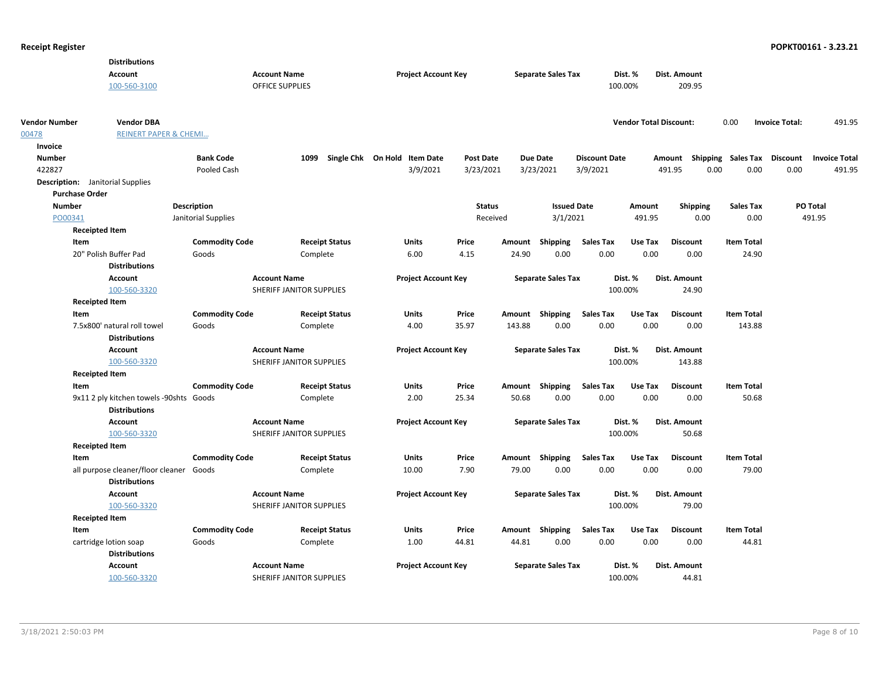|                                         | <b>Distributions</b>                    |                       |                                                 |                       |                              |                |               |                           |                          |                               |                       |                           |                       |                      |
|-----------------------------------------|-----------------------------------------|-----------------------|-------------------------------------------------|-----------------------|------------------------------|----------------|---------------|---------------------------|--------------------------|-------------------------------|-----------------------|---------------------------|-----------------------|----------------------|
|                                         | Account                                 |                       | <b>Account Name</b>                             |                       | <b>Project Account Key</b>   |                |               | <b>Separate Sales Tax</b> |                          | Dist. %                       | Dist. Amount          |                           |                       |                      |
|                                         | 100-560-3100                            |                       | <b>OFFICE SUPPLIES</b>                          |                       |                              |                |               |                           |                          | 100.00%                       | 209.95                |                           |                       |                      |
|                                         |                                         |                       |                                                 |                       |                              |                |               |                           |                          |                               |                       |                           |                       |                      |
| <b>Vendor Number</b>                    | <b>Vendor DBA</b>                       |                       |                                                 |                       |                              |                |               |                           |                          | <b>Vendor Total Discount:</b> |                       | 0.00                      | <b>Invoice Total:</b> | 491.95               |
| 00478                                   | <b>REINERT PAPER &amp; CHEMI</b>        |                       |                                                 |                       |                              |                |               |                           |                          |                               |                       |                           |                       |                      |
| Invoice                                 |                                         |                       |                                                 |                       |                              |                |               |                           |                          |                               |                       |                           |                       |                      |
| <b>Number</b>                           |                                         | <b>Bank Code</b>      | 1099                                            |                       | Single Chk On Hold Item Date | Post Date      |               | <b>Due Date</b>           | <b>Discount Date</b>     |                               |                       | Amount Shipping Sales Tax | <b>Discount</b>       | <b>Invoice Total</b> |
| 422827                                  |                                         | Pooled Cash           |                                                 |                       | 3/9/2021                     | 3/23/2021      |               | 3/23/2021                 | 3/9/2021                 |                               | 491.95                | 0.00<br>0.00              | 0.00                  | 491.95               |
| <b>Description:</b> Janitorial Supplies |                                         |                       |                                                 |                       |                              |                |               |                           |                          |                               |                       |                           |                       |                      |
| <b>Purchase Order</b>                   |                                         |                       |                                                 |                       |                              |                |               |                           |                          |                               |                       |                           |                       |                      |
| <b>Number</b>                           |                                         | Description           |                                                 |                       |                              |                | <b>Status</b> | <b>Issued Date</b>        |                          | Amount                        | <b>Shipping</b>       | <b>Sales Tax</b>          |                       | PO Total             |
| PO00341                                 |                                         | Janitorial Supplies   |                                                 |                       |                              |                | Received      | 3/1/2021                  |                          | 491.95                        | 0.00                  | 0.00                      |                       | 491.95               |
| <b>Receipted Item</b>                   |                                         |                       |                                                 |                       |                              |                |               |                           |                          |                               |                       |                           |                       |                      |
| Item                                    |                                         | <b>Commodity Code</b> |                                                 | <b>Receipt Status</b> | Units                        | Price          | Amount        | <b>Shipping</b>           | <b>Sales Tax</b>         | Use Tax                       | <b>Discount</b>       | <b>Item Total</b>         |                       |                      |
|                                         | 20" Polish Buffer Pad                   | Goods                 | Complete                                        |                       | 6.00                         | 4.15           | 24.90         | 0.00                      | 0.00                     | 0.00                          | 0.00                  | 24.90                     |                       |                      |
|                                         | <b>Distributions</b>                    |                       |                                                 |                       |                              |                |               |                           |                          |                               |                       |                           |                       |                      |
|                                         | Account                                 |                       | <b>Account Name</b>                             |                       | <b>Project Account Key</b>   |                |               | <b>Separate Sales Tax</b> |                          | Dist. %                       | Dist. Amount          |                           |                       |                      |
|                                         | 100-560-3320                            |                       | SHERIFF JANITOR SUPPLIES                        |                       |                              |                |               |                           |                          | 100.00%                       | 24.90                 |                           |                       |                      |
| <b>Receipted Item</b>                   |                                         |                       |                                                 |                       |                              |                |               |                           |                          |                               |                       |                           |                       |                      |
| Item                                    |                                         | <b>Commodity Code</b> |                                                 | <b>Receipt Status</b> | <b>Units</b>                 | Price          |               | Amount Shipping           | <b>Sales Tax</b>         | Use Tax                       | <b>Discount</b>       | <b>Item Total</b>         |                       |                      |
|                                         | 7.5x800' natural roll towel             | Goods                 | Complete                                        |                       | 4.00                         | 35.97          | 143.88        | 0.00                      | 0.00                     | 0.00                          | 0.00                  | 143.88                    |                       |                      |
|                                         | <b>Distributions</b>                    |                       |                                                 |                       |                              |                |               |                           |                          |                               |                       |                           |                       |                      |
|                                         | Account                                 |                       | <b>Account Name</b>                             |                       | <b>Project Account Key</b>   |                |               | <b>Separate Sales Tax</b> |                          | Dist. %                       | Dist. Amount          |                           |                       |                      |
|                                         | 100-560-3320                            |                       | SHERIFF JANITOR SUPPLIES                        |                       |                              |                |               |                           |                          | 100.00%                       | 143.88                |                           |                       |                      |
| <b>Receipted Item</b>                   |                                         |                       |                                                 |                       |                              |                |               |                           |                          |                               |                       |                           |                       |                      |
| Item                                    |                                         | <b>Commodity Code</b> |                                                 | <b>Receipt Status</b> | Units                        | Price          |               | Amount Shipping           | <b>Sales Tax</b>         | Use Tax                       | <b>Discount</b>       | <b>Item Total</b>         |                       |                      |
|                                         | 9x11 2 ply kitchen towels -90shts Goods |                       | Complete                                        |                       | 2.00                         | 25.34          | 50.68         | 0.00                      | 0.00                     | 0.00                          | 0.00                  | 50.68                     |                       |                      |
|                                         | <b>Distributions</b>                    |                       |                                                 |                       |                              |                |               |                           |                          |                               |                       |                           |                       |                      |
|                                         | Account                                 |                       | <b>Account Name</b>                             |                       | <b>Project Account Key</b>   |                |               | <b>Separate Sales Tax</b> |                          | Dist. %                       | Dist. Amount          |                           |                       |                      |
|                                         | 100-560-3320                            |                       | SHERIFF JANITOR SUPPLIES                        |                       |                              |                |               |                           |                          | 100.00%                       | 50.68                 |                           |                       |                      |
| <b>Receipted Item</b>                   |                                         |                       |                                                 |                       |                              |                |               |                           |                          |                               |                       |                           |                       |                      |
| Item                                    |                                         | <b>Commodity Code</b> |                                                 | <b>Receipt Status</b> | Units                        | Price          |               | Amount Shipping           | Sales Tax                | Use Tax                       | <b>Discount</b>       | <b>Item Total</b>         |                       |                      |
|                                         | all purpose cleaner/floor cleaner Goods |                       | Complete                                        |                       | 10.00                        | 7.90           | 79.00         | 0.00                      | 0.00                     | 0.00                          | 0.00                  | 79.00                     |                       |                      |
|                                         | <b>Distributions</b>                    |                       |                                                 |                       |                              |                |               |                           |                          |                               |                       |                           |                       |                      |
|                                         | Account                                 |                       | <b>Account Name</b>                             |                       | <b>Project Account Key</b>   |                |               | <b>Separate Sales Tax</b> |                          | Dist. %                       | Dist. Amount          |                           |                       |                      |
|                                         | 100-560-3320                            |                       | SHERIFF JANITOR SUPPLIES                        |                       |                              |                |               |                           |                          | 100.00%                       | 79.00                 |                           |                       |                      |
| <b>Receipted Item</b>                   |                                         |                       |                                                 |                       |                              |                |               |                           |                          |                               |                       |                           |                       |                      |
| Item                                    |                                         | <b>Commodity Code</b> |                                                 | <b>Receipt Status</b> | Units<br>1.00                | Price<br>44.81 | 44.81         | Amount Shipping<br>0.00   | <b>Sales Tax</b><br>0.00 | Use Tax<br>0.00               | <b>Discount</b>       | <b>Item Total</b>         |                       |                      |
|                                         | cartridge lotion soap                   | Goods                 | Complete                                        |                       |                              |                |               |                           |                          |                               | 0.00                  | 44.81                     |                       |                      |
|                                         | <b>Distributions</b>                    |                       |                                                 |                       |                              |                |               |                           |                          |                               |                       |                           |                       |                      |
|                                         | Account<br>100-560-3320                 |                       | <b>Account Name</b><br>SHERIFF JANITOR SUPPLIES |                       | <b>Project Account Key</b>   |                |               | <b>Separate Sales Tax</b> |                          | Dist. %<br>100.00%            | Dist. Amount<br>44.81 |                           |                       |                      |
|                                         |                                         |                       |                                                 |                       |                              |                |               |                           |                          |                               |                       |                           |                       |                      |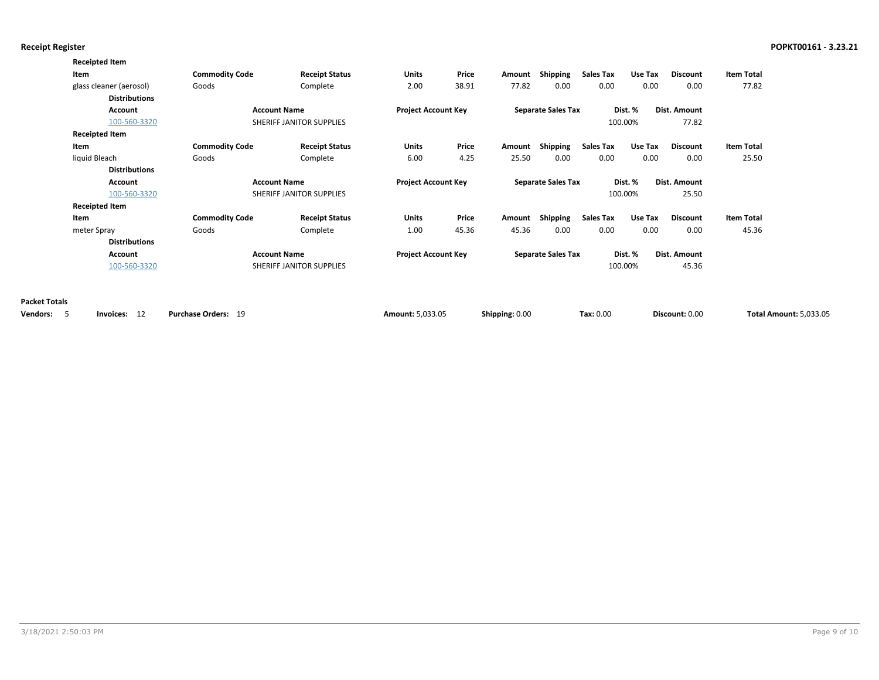|                      | <b>Receipted Item</b>   |                       |                          |                            |       |                |                           |                  |         |                     |                               |
|----------------------|-------------------------|-----------------------|--------------------------|----------------------------|-------|----------------|---------------------------|------------------|---------|---------------------|-------------------------------|
|                      | Item                    | <b>Commodity Code</b> | <b>Receipt Status</b>    | Units                      | Price | Amount         | Shipping                  | <b>Sales Tax</b> | Use Tax | <b>Discount</b>     | <b>Item Total</b>             |
|                      | glass cleaner (aerosol) | Goods                 | Complete                 | 2.00                       | 38.91 | 77.82          | 0.00                      | 0.00             | 0.00    | 0.00                | 77.82                         |
|                      | <b>Distributions</b>    |                       |                          |                            |       |                |                           |                  |         |                     |                               |
|                      | <b>Account</b>          |                       | <b>Account Name</b>      | <b>Project Account Key</b> |       |                | <b>Separate Sales Tax</b> |                  | Dist. % | Dist. Amount        |                               |
|                      | 100-560-3320            |                       | SHERIFF JANITOR SUPPLIES |                            |       |                |                           |                  | 100.00% | 77.82               |                               |
|                      | <b>Receipted Item</b>   |                       |                          |                            |       |                |                           |                  |         |                     |                               |
|                      | Item                    | <b>Commodity Code</b> | <b>Receipt Status</b>    | <b>Units</b>               | Price | Amount         | Shipping                  | <b>Sales Tax</b> | Use Tax | <b>Discount</b>     | <b>Item Total</b>             |
|                      | liquid Bleach           | Goods                 | Complete                 | 6.00                       | 4.25  | 25.50          | 0.00                      | 0.00             | 0.00    | 0.00                | 25.50                         |
|                      | <b>Distributions</b>    |                       |                          |                            |       |                |                           |                  |         |                     |                               |
|                      | <b>Account</b>          |                       | <b>Account Name</b>      | <b>Project Account Key</b> |       |                | <b>Separate Sales Tax</b> |                  | Dist. % | <b>Dist. Amount</b> |                               |
|                      | 100-560-3320            |                       | SHERIFF JANITOR SUPPLIES |                            |       |                |                           |                  | 100.00% | 25.50               |                               |
|                      | <b>Receipted Item</b>   |                       |                          |                            |       |                |                           |                  |         |                     |                               |
|                      | Item                    | <b>Commodity Code</b> | <b>Receipt Status</b>    | Units                      | Price | Amount         | Shipping                  | <b>Sales Tax</b> | Use Tax | Discount            | <b>Item Total</b>             |
|                      | meter Spray             | Goods                 | Complete                 | 1.00                       | 45.36 | 45.36          | 0.00                      | 0.00             | 0.00    | 0.00                | 45.36                         |
|                      | <b>Distributions</b>    |                       |                          |                            |       |                |                           |                  |         |                     |                               |
|                      | <b>Account</b>          |                       | <b>Account Name</b>      | <b>Project Account Key</b> |       |                | <b>Separate Sales Tax</b> |                  | Dist. % | <b>Dist. Amount</b> |                               |
|                      | 100-560-3320            |                       | SHERIFF JANITOR SUPPLIES |                            |       |                |                           |                  | 100.00% | 45.36               |                               |
|                      |                         |                       |                          |                            |       |                |                           |                  |         |                     |                               |
|                      |                         |                       |                          |                            |       |                |                           |                  |         |                     |                               |
| <b>Packet Totals</b> |                         |                       |                          |                            |       |                |                           |                  |         |                     |                               |
| Vendors:<br>5        | Invoices: 12            | Purchase Orders: 19   |                          | Amount: 5,033.05           |       | Shipping: 0.00 |                           | Tax: 0.00        |         | Discount: 0.00      | <b>Total Amount: 5,033.05</b> |